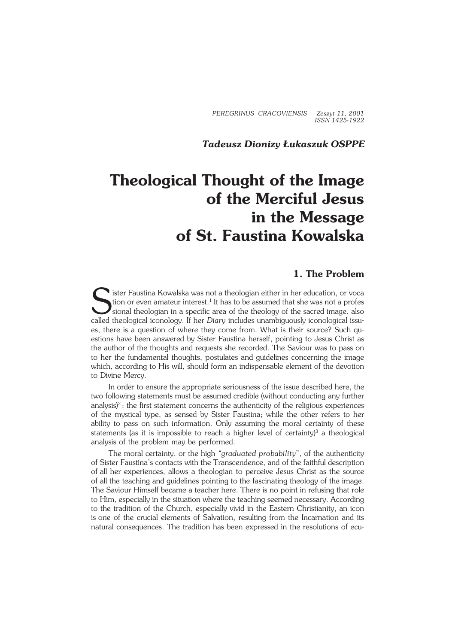*PEREGRINUS CRACOVIENSIS Zeszyt 11, 2001 ISSN 1425−1922*

#### *Tadeusz Dionizy Łukaszuk OSPPE*

# **Theological Thought of the Image of the Merciful Jesus in the Message of St. Faustina Kowalska**

## **1. The Problem**

Sister Faustina Kowalska was not a theologian either in her education, or vocation or even amateur interest.<sup>1</sup> It has to be assumed that she was not a professional theologian in a specific area of the theology of the sacr ister Faustina Kowalska was not a theologian either in her education, or voca tion or even amateur interest.<sup>1</sup> It has to be assumed that she was not a profes called theological iconology. If her *Diary* includes unambiguously iconological issu− es, there is a question of where they come from. What is their source? Such questions have been answered by Sister Faustina herself, pointing to Jesus Christ as the author of the thoughts and requests she recorded. The Saviour was to pass on to her the fundamental thoughts, postulates and guidelines concerning the image which, according to His will, should form an indispensable element of the devotion to Divine Mercy.

In order to ensure the appropriate seriousness of the issue described here, the two following statements must be assumed credible (without conducting any further analysis)<sup>2</sup>: the first statement concerns the authenticity of the religious experiences of the mystical type, as sensed by Sister Faustina; while the other refers to her ability to pass on such information. Only assuming the moral certainty of these statements (as it is impossible to reach a higher level of certainty)<sup>3</sup> a theological analysis of the problem may be performed.

The moral certainty, or the high *"graduated probability*", of the authenticity of Sister Faustina's contacts with the Transcendence, and of the faithful description ofall her experiences, allows a theologian to perceive Jesus Christ as the source of all the teaching and guidelines pointing to the fascinating theology of the image. The Saviour Himself became a teacher here. There is no point in refusing that role to Him, especially in the situation where the teaching seemed necessary. According to the tradition of the Church, especially vivid in the Eastern Christianity, an icon isone of the crucial elements of Salvation, resulting from the Incarnation and its natural consequences. The tradition has been expressed in the resolutions of ecu−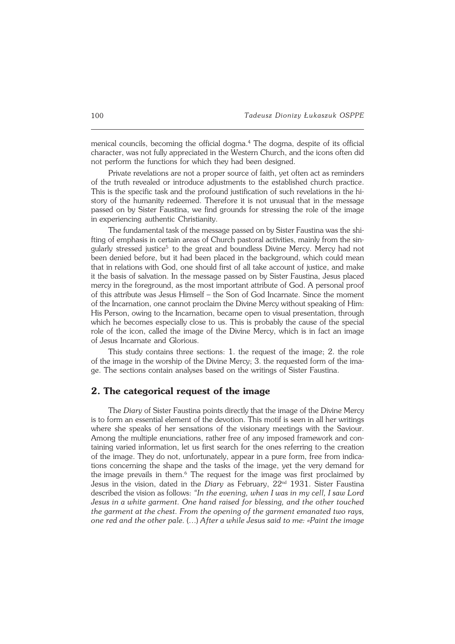menical councils, becoming the official dogma.<sup>4</sup> The dogma, despite of its official character, was not fully appreciated in the Western Church, and the icons often did not perform the functions for which they had been designed.

Private revelations are not a proper source of faith, yet often act as reminders of the truth revealed or introduce adjustments to the established church practice. This is the specific task and the profound justification of such revelations in thehi− story of the humanity redeemed. Therefore it is not unusual that in the message passed on by Sister Faustina, we find grounds for stressing the role of the image in experiencing authentic Christianity.

The fundamental task of the message passed on by Sister Faustina was the shi− fting of emphasis in certain areas of Church pastoral activities, mainly from the singularly stressed justice<sup>5</sup> to the great and boundless Divine Mercy. Mercy had not been denied before, but it had been placed in the background, which could mean that in relations with God, one should first of all take account of justice, and make it the basis of salvation. In the message passed on by Sister Faustina, Jesus placed mercy in the foreground, as the most important attribute of God. A personal proof of this attribute was Jesus Himself – the Son of God Incarnate. Since the moment of the Incarnation, one cannot proclaim the Divine Mercy without speaking of Him: His Person, owing to the Incarnation, became open to visual presentation, through which he becomes especially close to us. This is probably the cause of the special role of the icon, called the image of the Divine Mercy, which is in fact an image of Jesus Incarnate and Glorious.

This study contains three sections: 1. the request of the image; 2. the role of the image in the worship of the Divine Mercy; 3. the requested form of the ima− ge. The sections contain analyses based on the writings of Sister Faustina.

### **2. The categorical request of the image**

The *Diary* of Sister Faustina points directly that the image of the Divine Mercy is to form an essential element of the devotion. This motif is seen in all her writings where she speaks of her sensations of the visionary meetings with the Saviour. Among the multiple enunciations, rather free of any imposed framework and con− taining varied information, let us first search for the ones referring to the creation of the image. They do not, unfortunately, appear in a pure form, free from indica− tions concerning the shape and the tasks of the image, yet the very demand for the image prevails in them.<sup>6</sup> The request for the image was first proclaimed by Jesus inthe vision, dated in the *Diary* as February, 22nd 1931. Sister Faustina described the vision as follows: *"In the evening, when I was in my cell, I saw Lord Jesus inawhite garment. One hand raised for blessing, and the other touched thegarment at the chest. From the opening of the garment emanated two rays, onered and the other pale.* (…) *After a while Jesus said to me: «Paint the image*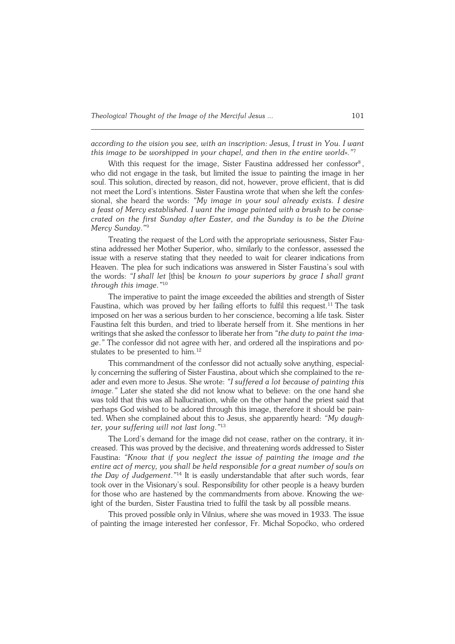*according to the vision you see, with an inscription: Jesus, I trust in You. I want this image to be worshipped in your chapel, and then in the entire world»."*<sup>7</sup>

With this request for the image, Sister Faustina addressed her confessor<sup>8</sup>, who did not engage in the task, but limited the issue to painting the image in her soul. This solution, directed by reason, did not, however, prove efficient, that is did not meet the Lord's intentions. Sister Faustina wrote that when she left the confes− sional, she heard the words: *"My image in your soul already exists. I desire a feast of Mercy established. I want the image painted with a brush to be conse− crated on the first Sunday after Easter, and the Sunday is to be the Divine Mercy Sunday*.*"* 9

Treating the request of the Lord with the appropriate seriousness, Sister Fau− stina addressed her Mother Superior, who, similarly to the confessor, assessed the issue with a reserve stating that they needed to wait for clearer indications from Heaven. The plea for such indications was answered in Sister Faustina's soul with the words: *"Ishall let* [this] be *known to your superiors by grace I shall grant through this image*.*"* 10

The imperative to paint the image exceeded the abilities and strength of Sister Faustina, which was proved by her failing efforts to fulfil this request.<sup>11</sup> The task imposed on her was a serious burden to her conscience, becoming a life task. Sister Faustina felt this burden, and tried to liberate herself from it. She mentions in her writings that she asked the confessor to liberate her from *"the duty to paint theima− ge*. "The confessor did not agree with her, and ordered all the inspirations and postulates to be presented to him.<sup>12</sup>

This commandment of the confessor did not actually solve anything, especial− ly concerning the suffering of Sister Faustina, about which she complained to there− ader and even more to Jesus. She wrote: *"I suffered a lot because of painting this image*.*"* Later she stated she did not know what to believe: on the one hand she was told that this was all hallucination, while on the other hand the priest said that perhaps God wished to be adored through this image, therefore it should be pain− ted. When she complained about this to Jesus, she apparently heard: *"My daugh− ter, your suffering will not last long*.*"* 13

The Lord's demand for the image did not cease, rather on the contrary, it increased. This was proved by the decisive, and threatening words addressed to Sister Faustina: *"Know that if you neglect the issue of painting the image and the entire act of mercy, you shall be held responsible for a great number of souls on* the Day of Judgement.<sup>"14</sup> It is easily understandable that after such words, fear took over in the Visionary's soul. Responsibility for other people is a heavy burden for those who are hastened by the commandments from above. Knowing the we− ight of the burden, Sister Faustina tried to fulfil the task by all possible means.

This proved possible only in Vilnius, where she was moved in 1933. The issue of painting the image interested her confessor, Fr. Michał Sopoćko, who ordered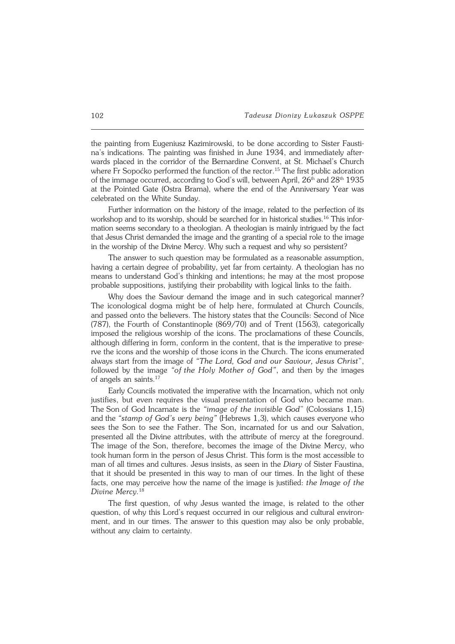the painting from Eugeniusz Kazimirowski, to be done according to Sister Fausti− na's indications. The painting was finished in June 1934, and immediately after− wards placed in the corridor of the Bernardine Convent, at St. Michael's Church where Fr Sopoćko performed the function of the rector.<sup>15</sup> The first public adoration of the immage occurred, according to God's will, between April,  $26<sup>th</sup>$  and  $28<sup>th</sup>$  1935 at the Pointed Gate (Ostra Brama), where the end of the Anniversary Year was celebrated on the White Sunday.

Further information on the history of the image, related to the perfection of its workshop and to its worship, should be searched for in historical studies.<sup>16</sup> This infor− mation seems secondary to a theologian. A theologian is mainly intrigued by the fact that Jesus Christ demanded the image and the granting of a special role to the image in the worship of the Divine Mercy. Why such a request and why so persistent?

The answer to such question may be formulated as a reasonable assumption, having a certain degree of probability, yet far from certainty. A theologian has no means to understand God's thinking and intentions; he may at the most propose probable suppositions, justifying their probability with logical links to the faith.

Why does the Saviour demand the image and in such categorical manner? The iconological dogma might be of help here, formulated at Church Councils, and passed onto the believers. The history states that the Councils: Second of Nice (787), the Fourth of Constantinople (869/70) and of Trent (1563), categorically imposed the religious worship of the icons. The proclamations of these Councils, although differing in form, conform in the content, that is the imperative to prese− rve the icons and the worship of those icons in the Church. The icons enumerated always start from the image of *"The Lord, God and our Saviour, Jesus Christ*", followed by the image *"ofthe Holy Mother of God"*, and then by the images of angels an saints.<sup>17</sup>

Early Councils motivated the imperative with the Incarnation, which not only justifies, but even requires the visual presentation of God who became man. The Son of God Incarnate is the *"image of the invisible God"* (Colossians 1,15) and the "stamp of God's very being" (Hebrews 1,3), which causes everyone who sees the Son to see the Father. The Son, incarnated for us and our Salvation, presented all the Divine attributes, with the attribute of mercy at the foreground. The image of the Son, therefore, becomes the image of the Divine Mercy, who took human form in the person of Jesus Christ. This form is the most accessible to man of all times and cultures. Jesus insists, as seen in the *Diary* of Sister Faustina, that it should be presented in this way to man of our times. In the light of these facts, one may perceive how the name of the image is justified: *the Image of the Divine Mercy.*<sup>18</sup>

The first question, of why Jesus wanted the image, is related to the other question, of why this Lord's request occurred in our religious and cultural environ− ment, and in our times. The answer to this question may also be only probable, without any claim to certainty.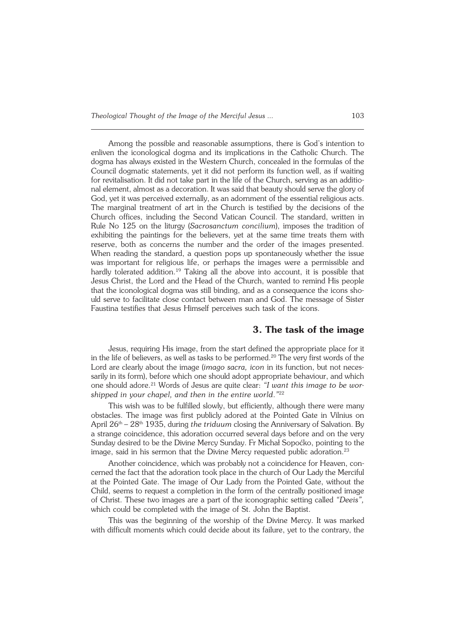Among the possible and reasonable assumptions, there is God's intention to enliven the iconological dogma and its implications in the Catholic Church. The dogma has always existed in the Western Church, concealed in the formulas of the Council dogmatic statements, yet it did not perform its function well, as if waiting for revitalisation. It did not take part in the life of the Church, serving as an additio− nal element, almost as a decoration. It was said that beauty should serve the glory of God, yet it was perceived externally, as an adornment of the essential religious acts. The marginal treatment of art in the Church is testified by the decisions of the Church offices, including the Second Vatican Council. The standard, written in Rule No 125 on the liturgy (*Sacrosanctum concilium*), imposes the tradition of exhibiting the paintings for the believers, yet at the same time treats them with reserve, both as concerns the number and the order of the images presented. When reading the standard, a question pops up spontaneously whether the issue was important for religious life, or perhaps the images were a permissible and hardly tolerated addition.<sup>19</sup> Taking all the above into account, it is possible that Jesus Christ, the Lord and the Head of the Church, wanted to remind His people that the iconological dogma was still binding, and as a consequence the icons sho− uld serve to facilitate close contact between man and God. The message of Sister Faustina testifies that Jesus Himself perceives such task of the icons.

#### **3. The task of the image**

Jesus, requiring His image, from the start defined the appropriate place for it in the life of believers, as well as tasks to be performed.<sup>20</sup> The very first words of the Lord are clearly about the image (*imago sacra, icon* in its function, but not neces− sarily in its form), before which one should adopt appropriate behaviour, and which one should adore.21 Words of Jesus are quite clear: *"I want this image to be wor− shipped in your chapel, and then in the entire world*.*"* 22

This wish was to be fulfilled slowly, but efficiently, although there were many obstacles. The image was first publicly adored at the Pointed Gate in Vilnius on April 26th – 28th 1935, during *the triduum* closing the Anniversary of Salvation. By a strange coincidence, this adoration occurred several days before and on the very Sunday desired to be the Divine Mercy Sunday. Fr Michał Sopoćko, pointing to the image, said in his sermon that the Divine Mercy requested public adoration.<sup>23</sup>

Another coincidence, which was probably not a coincidence for Heaven, con− cerned the fact that the adoration took place in the church of Our Lady the Merciful at the Pointed Gate. The image of Our Lady from the Pointed Gate, without the Child, seems to request a completion in the form of the centrally positioned image of Christ. These two images are a part of the iconographic setting called *"Deeis",* which could be completed with the image of St. John the Baptist.

This was the beginning of the worship of the Divine Mercy. It was marked with difficult moments which could decide about its failure, yet to the contrary, the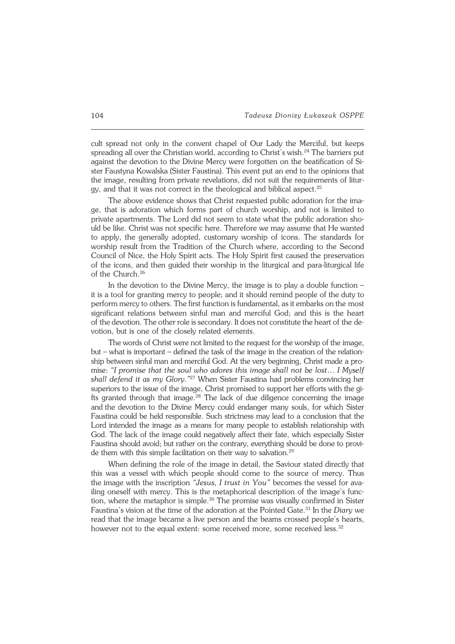cult spread not only in the convent chapel of Our Lady the Merciful, but keeps spreading all over the Christian world, according to Christ's wish.<sup>24</sup> The barriers put against the devotion to the Divine Mercy were forgotten on the beatification of Sister Faustyna Kowalska (Sister Faustina). This event put an end to the opinions that the image, resulting from private revelations, did not suit the requirements of litur− gy, and that it was not correct in the theological and biblical aspect.<sup>25</sup>

The above evidence shows that Christ requested public adoration for the ima− ge, that is adoration which forms part of church worship, and not is limited to private apartments. The Lord did not seem to state what the public adoration sho− uld be like. Christ was not specific here. Therefore we may assume that He wanted to apply, the generally adopted, customary worship of icons. The standards for worship result from the Tradition of the Church where, according to the Second Council of Nice, the Holy Spirit acts. The Holy Spirit first caused the preservation of the icons, and then guided their worship in the liturgical and para−liturgical life of the Church.<sup>26</sup>

In the devotion to the Divine Mercy, the image is to play a double function – it is a tool for granting mercy to people; and it should remind people of the duty to perform mercy to others. The first function is fundamental, as it embarks on the most significant relations between sinful man and merciful God; and this is the heart of the devotion. The other role is secondary. It does not constitute the heart of the devotion, but is one of the closely related elements.

The words of Christ were not limited to the request for the worship of the image, but – what is important – defined the task of the image in the creation of the relation− ship between sinful man and merciful God. At the very beginning, Christ made a pro− mise: *"I promise that the soul who adores this image shall not be lost… I Myself shall defend it as my Glory*.*"* <sup>27</sup> When Sister Faustina had problems convincing her superiors to the issue of the image, Christ promised to support her efforts with the gifts granted through that image.<sup>28</sup> The lack of due diligence concerning the image and the devotion to the Divine Mercy could endanger many souls, for which Sister Faustina could be held responsible. Such strictness may lead to a conclusion that the Lord intended the image as a means for many people to establish relationship with God. The lack of the image could negatively affect their fate, which especially Sister Faustina should avoid; but rather on the contrary, everything should be done to provi− de them with this simple facilitation on their way to salvation.<sup>29</sup>

When defining the role of the image in detail, the Saviour stated directly that this was a vessel with which people should come to the source of mercy. Thus the image with the inscription *"Jesus, I trust in You"* becomes the vessel for ava− iling oneself with mercy. This is the metaphorical description of the image's func− tion, where the metaphor is simple.<sup>30</sup> The promise was visually confirmed in Sister Faustina's vision at the time of the adoration at the Pointed Gate.31 In the *Diary* we read that the image became a live person and the beams crossed people's hearts, however not to the equal extent: some received more, some received less.<sup>32</sup>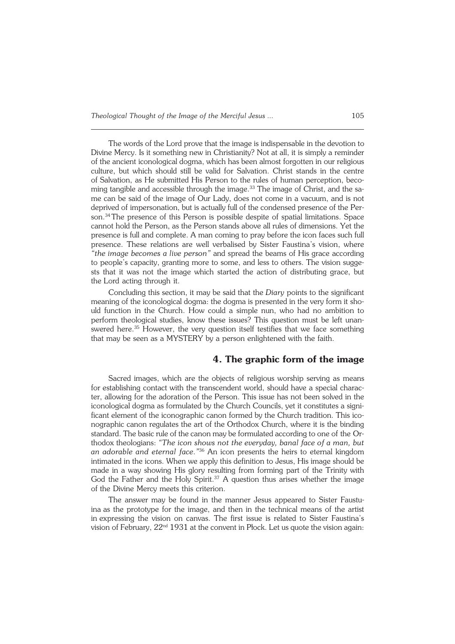The words of the Lord prove that the image is indispensable in the devotion to Divine Mercy. Is it something new in Christianity? Not at all, it is simply a reminder of the ancient iconological dogma, which has been almost forgotten in our religious culture, but which should still be valid for Salvation. Christ stands in the centre of Salvation, as He submitted His Person to the rules of human perception, becoming tangible and accessible through the image.<sup>33</sup> The image of Christ, and the same can be said of the image of Our Lady, does not come in a vacuum, and is not deprived of impersonation, but is actually full of the condensed presence of the Per− son.<sup>34</sup>The presence of this Person is possible despite of spatial limitations. Space cannot hold the Person, as the Person stands above all rules of dimensions. Yet the presence is full and complete. A man coming to pray before the icon faces such full presence. These relations are well verbalised by Sister Faustina's vision, where "the image becomes a live person" and spread the beams of His grace according to people's capacity, granting more to some, and less to others. The vision sugge− sts that it was not the image which started the action of distributing grace, but the Lord acting through it.

Concluding this section, it may be said that the *Diary* points to the significant meaning of the iconological dogma: the dogma is presented in the very form it sho− uld function in the Church. How could a simple nun, who had no ambition to perform theological studies, know these issues? This question must be left unanswered here.<sup>35</sup> However, the very question itself testifies that we face something that may be seen as a MYSTERY by a person enlightened with the faith.

#### **4. The graphic form of the image**

Sacred images, which are the objects of religious worship serving as means for establishing contact with the transcendent world, should have a special charac− ter, allowing for the adoration of the Person. This issue has not been solved in the iconological dogma as formulated by the Church Councils, yet it constitutes a signi− ficant element of the iconographic canon formed by the Church tradition. This iconographic canon regulates the art of the Orthodox Church, where it is the binding standard. The basic rule of the canon may be formulated according to one of the Or− thodox theologians: *"The icon shows not the everyday, banal face of aman, but an adorable and eternal face*.*"* <sup>36</sup> An icon presents the heirs to eternal kingdom intimated in the icons. When we apply this definition to Jesus, His image should be made in a way showing His glory resulting from forming part of the Trinity with God the Father and the Holy Spirit.<sup>37</sup> A question thus arises whether the image of the Divine Mercy meets this criterion.

The answer may be found in the manner Jesus appeared to Sister Faustu− inaas the prototype for the image, and then in the technical means of the artist in expressing the vision on canvas. The first issue is related to Sister Faustina's vision of February,  $22<sup>nd</sup> 1931$  at the convent in Plock. Let us quote the vision again: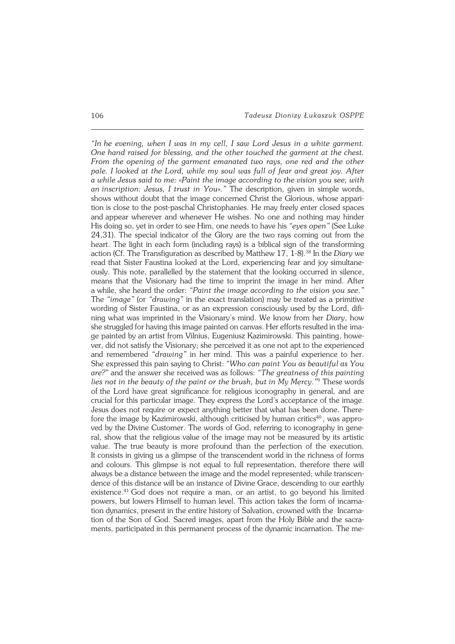*"Inhe evening, when I was in my cell, I saw Lord Jesus in a white garment. One hand raised for blessing, and the other touched the garment at the chest. From the opening of the garment emanated two rays, one red and the other pale. Ilooked at the Lord, while my soul was full of fear and great joy. After awhile Jesus said to me: «Paint the image according to the vision you see, with aninscription: Jesus, I trust in You»."* The description, given in simple words, shows without doubt that the image concerned Christ the Glorious, whose appari− tion is close to the post−paschal Christophanies. He may freely enter closed spaces and appear wherever and whenever He wishes. No one and nothing may hinder His doing so, yet in order to see Him, one needs to have his *"eyes open"* (See Luke 24,31). The special indicator of the Glory are the two rays coming out from the heart. The light in each form (including rays) is a biblical sign of the transforming action (Cf. The Transfiguration as described by Matthew 17, 1−8).38 In the *Diary* we read that Sister Faustina looked at the Lord, experiencing fear and joy simultane− ously. This note, parallelled by the statement that the looking occurred in silence, means that the Visionary had the time to imprint the image in her mind. After awhile, she heard the order: *"Paint the image according to the vision you see*.*"* The *"image"* (or *"drawing"* in the exact translation) may be treated as a primitive wording of Sister Faustina, or as an expression consciously used by the Lord, difi− ning what was imprinted in the Visionary's mind. We know from her *Diary*, how she struggled for having this image painted on canvas. Her efforts resulted in the image painted by an artist from Vilnius, Eugeniusz Kazimirowski. This painting, howe− ver, did not satisfy the Visionary; she perceived it as one not apt to the experienced and remembered "drawing" in her mind. This was a painful experience to her. She expressed this pain saying to Christ: "Who can paint You as beautiful as You *are?"* and the answer she received was as follows: "The greatness of this painting *lies not in the beauty of the paint or the brush, but in My Mercy*.*"* 9 These words of the Lord have great significance for religious iconography in general, and are crucial for this particular image. They express the Lord's acceptance of the image. Jesus does not require or expect anything better that what has been done. There− fore the image by Kazimirowski, although criticised by human critics<sup>40</sup>, was approved by the Divine Customer. The words of God, referring to iconography in gene− ral, show that the religious value of the image may not be measured by its artistic value. The true beauty is more profound than the perfection of the execution. It consists in giving us a glimpse of the transcendent world in the richness of forms and colours. This glimpse is not equal to full representation, therefore there will always be a distance between the image and the model represented; while transcen− dence of this distance will be an instance of Divine Grace, descending to our earthly existence.<sup>41</sup> God does not require a man, or an artist, to go beyond his limited powers, but lowers Himself to human level. This action takes the form of incarnation dynamics, present in the entire history of Salvation, crowned with the Incarna− tion of the Son of God. Sacred images, apart from the Holy Bible and the sacraments, participated in this permanent process of the dynamic incarnation. The me−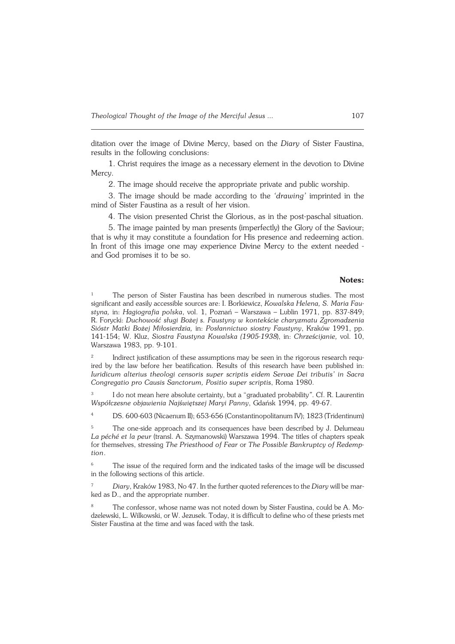ditation over the image of Divine Mercy, based on the *Diary* of Sister Faustina, results in the following conclusions:

1. Christ requires the image as a necessary element in the devotion to Divine Mercy.

2. The image should receive the appropriate private and public worship.

3. The image should be made according to the *'drawing'* imprinted in the mind of Sister Faustina as a result of her vision.

4. The vision presented Christ the Glorious, as in the post−paschal situation.

5. The image painted by man presents (imperfectly) the Glory of the Saviour; that is why it may constitute a foundation for His presence and redeeming action. In front of this image one may experience Divine Mercy to the extent needed − and God promises it to be so.

#### **Notes:**

<sup>1</sup> The person of Sister Faustina has been described in numerous studies. The most significant and easily accessible sources are: I. Borkiewicz, *Kowalska Helena, S. Maria Fau− styna,* in: *Hagiografia polska*, vol. 1, Poznań – Warszawa – Lublin 1971, pp. 837−849; R.Forycki: *Duchowość sługi Bożej s. Faustyny w kontekście charyzmatu Zgromadzenia Sióstr Matki Bożej Miłosierdzia,* in: *Posłannictwo siostry Faustyny*, Kraków 1991, pp. 141−154; W. Kluz, *Siostra Faustyna Kowalska (1905−1938*), in: *Chrześcijanie,* vol. 10, Warszawa 1983, pp. 9−101.

2 Indirect justification of these assumptions may be seen in the rigorous research requ− ired by the law before her beatification. Results of this research have been published in: *Iuridicum alterius theologi censoris super scriptis eidem Servae Dei tributis' in Sacra Congregatio pro Causis Sanctorum, Positio super scriptis*, Roma 1980.

3 I do not mean here absolute certainty, but a "graduated probability*"*. Cf. R. Laurentin *Współczesne objawienia Najświętszej Maryi Panny*, Gdańsk 1994, pp. 49−67.

<sup>4</sup> DS. 600−603 (Nicaenum II); 653−656 (Constantinopolitanum IV); 1823 (Tridentinum)

<sup>5</sup> The one−side approach and its consequences have been described by J. Delumeau *Lapéché et la peur* (transl. A. Szymanowski) Warszawa 1994. The titles of chapters speak for themselves, stressing *The Priesthood of Fear* or *The Possible Bankruptcy of Redemp− tion*.

 $6$  The issue of the required form and the indicated tasks of the image will be discussed in the following sections of this article.

<sup>7</sup> *Diary*, Kraków 1983, No 47. In the further quoted references to the *Diary* will bemar− ked as D., and the appropriate number.

The confessor, whose name was not noted down by Sister Faustina, could be A. Mo− dzelewski, L. Wilkowski, or W. Jezusek. Today, it is difficult to define who of these priests met Sister Faustina at the time and was faced with the task.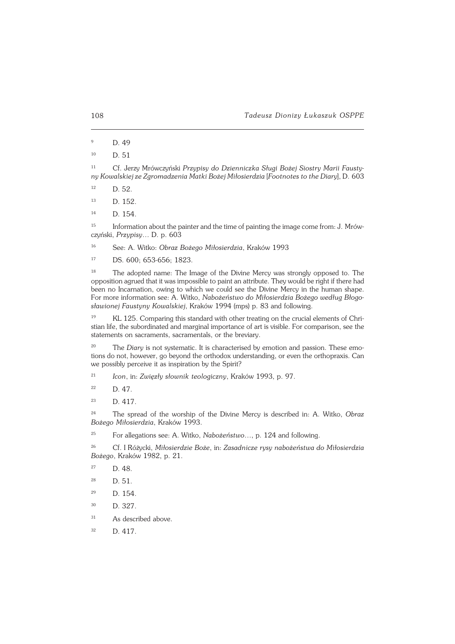<sup>11</sup> Cf. Jerzy Mrówczyński *Przypisy do Dzienniczka Sługi Bożej Siostry Marii Fausty− ny Kowalskiej ze Zgromadzenia Matki Bożej Miłosierdzia* [*Footnotes to the Diary*], D.603

<sup>12</sup> D. 52.

<sup>13</sup> D. 152.

<sup>14</sup> D. 154.

<sup>15</sup> Information about the painter and the time of painting the image come from: J.Mrów− czyński, *Przypisy…* D. p. 603

<sup>16</sup> See: A. Witko: *Obraz Bożego Miłosierdzia*, Kraków 1993

<sup>17</sup> DS. 600; 653−656; 1823.

<sup>18</sup> The adopted name: The Image of the Divine Mercy was strongly opposed to. The opposition agrued that it was impossible to paint an attribute. They would be right if there had been no Incarnation, owing to which we could see the Divine Mercy in the human shape. Formore information see: A. Witko, *Nabożeństwo do Miłosierdzia Bożego według Błogo− sławionej Faustyny Kowalskiej*, Kraków 1994 (mps) p. 83 and following.

<sup>19</sup> KL 125. Comparing this standard with other treating on the crucial elements of Chri− stian life, the subordinated and marginal importance of art is visible. For comparison, see the statements on sacraments, sacramentals, or the breviary.

<sup>20</sup> The *Diary* is not systematic. It is characterised by emotion and passion. These emo− tions do not, however, go beyond the orthodox understanding, or even the orthopraxis. Can we possibly perceive it as inspiration by the Spirit?

<sup>21</sup> *Icon*, in: *Zwięzły słownik teologiczny*, Kraków 1993, p. 97.

 $22$  D. 47.

<sup>23</sup> D. 417.

<sup>24</sup> The spread of the worship of the Divine Mercy is described in: A. Witko, *Obraz Bożego Miłosierdzia*, Kraków 1993.

<sup>25</sup> For allegations see: A. Witko, *Nabożeństwo*…, p. 124 and following.

<sup>26</sup> Cf. I Różycki, *Miłosierdzie Boże*, in: *Zasadnicze rysy nabożeństwa do Miłosierdzia Bożego*, Kraków 1982, p. 21.

<sup>27</sup> D. 48.

<sup>28</sup> D. 51.

- <sup>30</sup> D. 327.
- <sup>31</sup> As described above.
- $32 \quad D. 417.$

<sup>9</sup> D. 49

<sup>10</sup> D. 51

 $^{29}$  D. 154.